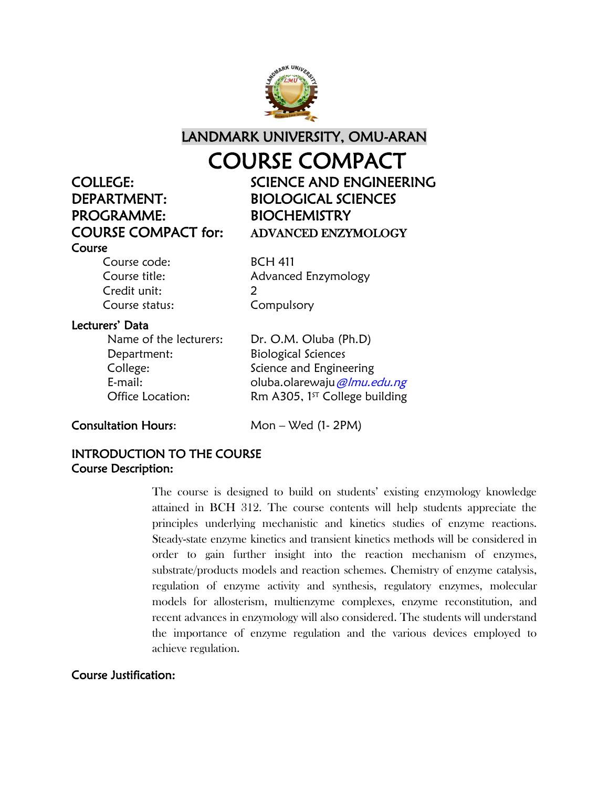

LANDMARK UNIVERSITY, OMU-ARAN

## COURSE COMPACT

# DEPARTMENT: BIOLOGICAL SCIENCES PROGRAMME: BIOCHEMISTRY Course

COLLEGE: SCIENCE AND ENGINEERING COURSE COMPACT for: ADVANCED ENZYMOLOGY

Course code: BCH 411 Credit unit: 2 Course status: Compulsory

Course title: Advanced Enzymology

### Lecturers' Data

Department: Biological Sciences

Name of the lecturers: Dr. O.M. Oluba (Ph.D) College: Science and Engineering E-mail: cluba.olarewaju *@lmu.edu.ng* Office Location: Rm A305,  $1^{57}$  College building

Consultation Hours: Mon – Wed (1- 2PM)

#### INTRODUCTION TO THE COURSE Course Description:

The course is designed to build on students' existing enzymology knowledge attained in BCH 312. The course contents will help students appreciate the principles underlying mechanistic and kinetics studies of enzyme reactions. Steady-state enzyme kinetics and transient kinetics methods will be considered in order to gain further insight into the reaction mechanism of enzymes, substrate/products models and reaction schemes. Chemistry of enzyme catalysis, regulation of enzyme activity and synthesis, regulatory enzymes, molecular models for allosterism, multienzyme complexes, enzyme reconstitution, and recent advances in enzymology will also considered. The students will understand the importance of enzyme regulation and the various devices employed to achieve regulation.

#### Course Justification: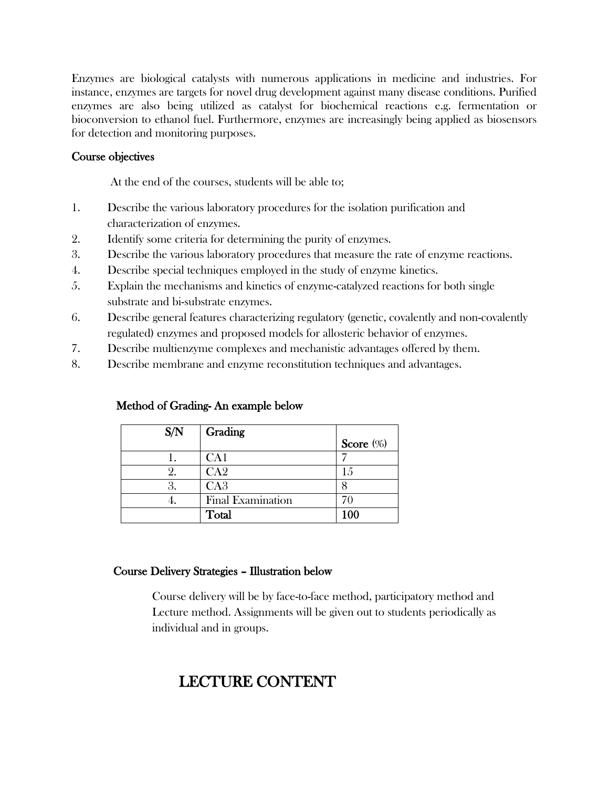Enzymes are biological catalysts with numerous applications in medicine and industries. For instance, enzymes are targets for novel drug development against many disease conditions. Purified enzymes are also being utilized as catalyst for biochemical reactions e.g. fermentation or bioconversion to ethanol fuel. Furthermore, enzymes are increasingly being applied as biosensors for detection and monitoring purposes.

#### Course objectives

At the end of the courses, students will be able to;

- 1. Describe the various laboratory procedures for the isolation purification and characterization of enzymes.
- 2. Identify some criteria for determining the purity of enzymes.
- 3. Describe the various laboratory procedures that measure the rate of enzyme reactions.
- 4. Describe special techniques employed in the study of enzyme kinetics.
- 5. Explain the mechanisms and kinetics of enzyme-catalyzed reactions for both single substrate and bi-substrate enzymes.
- 6. Describe general features characterizing regulatory (genetic, covalently and non-covalently regulated) enzymes and proposed models for allosteric behavior of enzymes.
- 7. Describe multienzyme complexes and mechanistic advantages offered by them.
- 8. Describe membrane and enzyme reconstitution techniques and advantages.

| S/N | Grading                  |              |
|-----|--------------------------|--------------|
|     |                          | Score $(\%)$ |
|     | CA1                      |              |
|     | CA <sub>2</sub>          | 1.5          |
|     | CA3                      |              |
|     | <b>Final Examination</b> | 70           |
|     | Total                    | 100          |

#### Method of Grading- An example below

#### Course Delivery Strategies – Illustration below

Course delivery will be by face-to-face method, participatory method and Lecture method. Assignments will be given out to students periodically as individual and in groups.

## LECTURE CONTENT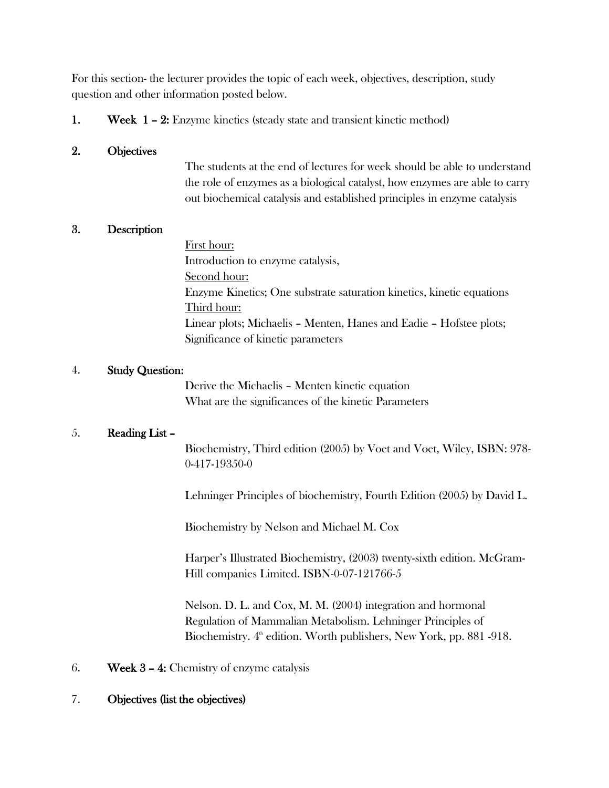For this section- the lecturer provides the topic of each week, objectives, description, study question and other information posted below.

1. Week 1 – 2: Enzyme kinetics (steady state and transient kinetic method)

#### 2. Objectives

The students at the end of lectures for week should be able to understand the role of enzymes as a biological catalyst, how enzymes are able to carry out biochemical catalysis and established principles in enzyme catalysis

#### 3. Description

First hour: Introduction to enzyme catalysis, Second hour: Enzyme Kinetics; One substrate saturation kinetics, kinetic equations Third hour: Linear plots; Michaelis – Menten, Hanes and Eadie – Hofstee plots; Significance of kinetic parameters

#### 4. Study Question:

Derive the Michaelis – Menten kinetic equation What are the significances of the kinetic Parameters

#### 5. Reading List –

Biochemistry, Third edition (2005) by Voet and Voet, Wiley, ISBN: 978- 0-417-19350-0

Lehninger Principles of biochemistry, Fourth Edition (2005) by David L.

Biochemistry by Nelson and Michael M. Cox

Harper's Illustrated Biochemistry, (2003) twenty-sixth edition. McGram-Hill companies Limited. ISBN-0-07-121766-5

Nelson. D. L. and Cox, M. M. (2004) integration and hormonal Regulation of Mammalian Metabolism. Lehninger Principles of Biochemistry.  $4^{\text{th}}$  edition. Worth publishers, New York, pp. 881 -918.

6. Week 3 – 4: Chemistry of enzyme catalysis

#### 7. Objectives (list the objectives)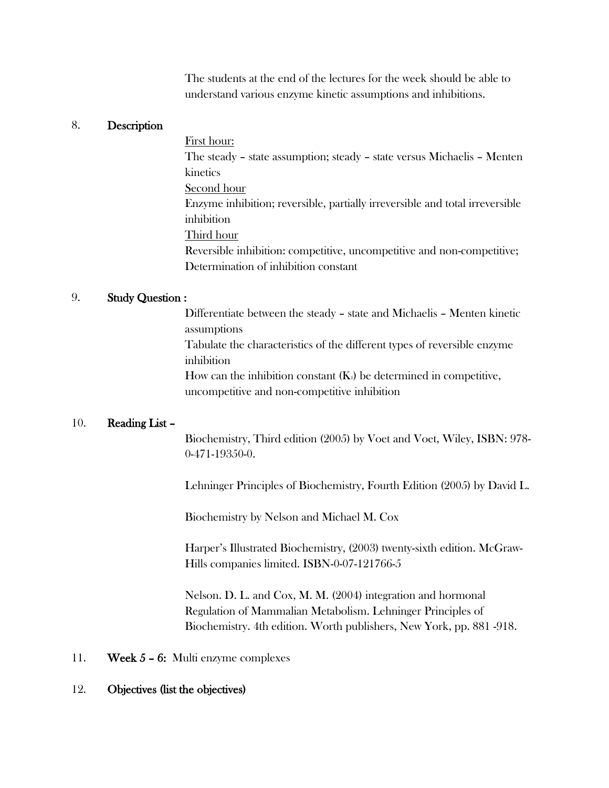The students at the end of the lectures for the week should be able to understand various enzyme kinetic assumptions and inhibitions.

#### 8. Description

First hour:

The steady – state assumption; steady – state versus Michaelis – Menten kinetics

Second hour

Enzyme inhibition; reversible, partially irreversible and total irreversible inhibition

Third hour

Reversible inhibition: competitive, uncompetitive and non-competitive; Determination of inhibition constant

#### 9. Study Question :

Differentiate between the steady – state and Michaelis – Menten kinetic assumptions Tabulate the characteristics of the different types of reversible enzyme inhibition How can the inhibition constant  $(K_1)$  be determined in competitive, uncompetitive and non-competitive inhibition

#### 10. Reading List –

Biochemistry, Third edition (2005) by Voet and Voet, Wiley, ISBN: 978- 0-471-19350-0.

Lehninger Principles of Biochemistry, Fourth Edition (2005) by David L.

Biochemistry by Nelson and Michael M. Cox

Harper's Illustrated Biochemistry, (2003) twenty-sixth edition. McGraw-Hills companies limited. ISBN-0-07-121766-5

Nelson. D. L. and Cox, M. M. (2004) integration and hormonal Regulation of Mammalian Metabolism. Lehninger Principles of Biochemistry. 4th edition. Worth publishers, New York, pp. 881 -918.

#### 11. Week 5 – 6: Multi enzyme complexes

#### 12. Objectives (list the objectives)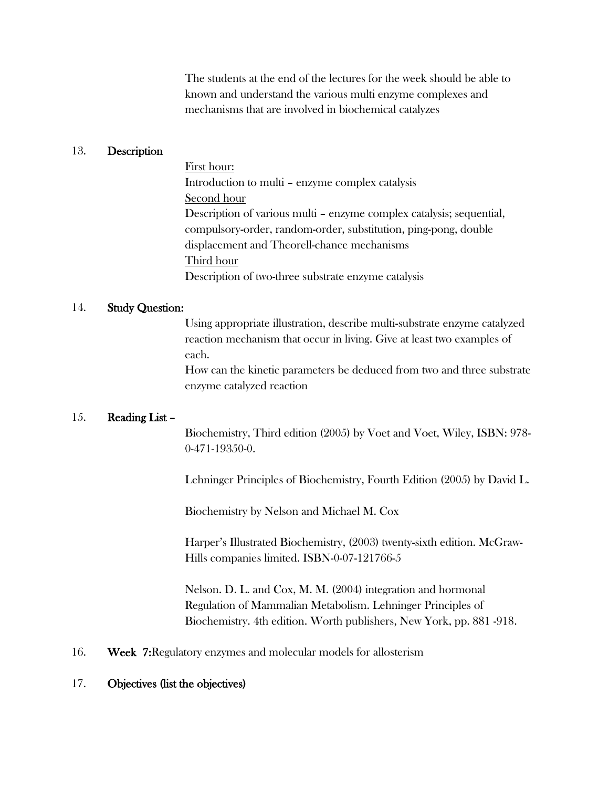The students at the end of the lectures for the week should be able to known and understand the various multi enzyme complexes and mechanisms that are involved in biochemical catalyzes

#### 13. Description

First hour: Introduction to multi – enzyme complex catalysis Second hour Description of various multi – enzyme complex catalysis; sequential, compulsory-order, random-order, substitution, ping-pong, double displacement and Theorell-chance mechanisms Third hour Description of two-three substrate enzyme catalysis

#### 14. Study Question:

Using appropriate illustration, describe multi-substrate enzyme catalyzed reaction mechanism that occur in living. Give at least two examples of each.

How can the kinetic parameters be deduced from two and three substrate enzyme catalyzed reaction

#### 15. Reading List –

Biochemistry, Third edition (2005) by Voet and Voet, Wiley, ISBN: 978- 0-471-19350-0.

Lehninger Principles of Biochemistry, Fourth Edition (2005) by David L.

Biochemistry by Nelson and Michael M. Cox

Harper's Illustrated Biochemistry, (2003) twenty-sixth edition. McGraw-Hills companies limited. ISBN-0-07-121766-5

Nelson. D. L. and Cox, M. M. (2004) integration and hormonal Regulation of Mammalian Metabolism. Lehninger Principles of Biochemistry. 4th edition. Worth publishers, New York, pp. 881 -918.

16. Week 7:Regulatory enzymes and molecular models for allosterism

#### 17. Objectives (list the objectives)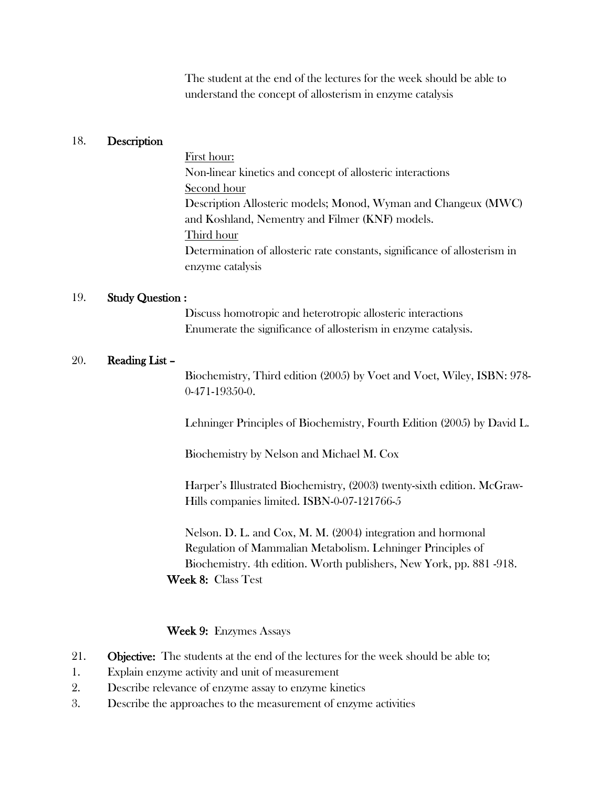The student at the end of the lectures for the week should be able to understand the concept of allosterism in enzyme catalysis

#### 18. Description

First hour: Non-linear kinetics and concept of allosteric interactions Second hour Description Allosteric models; Monod, Wyman and Changeux (MWC) and Koshland, Nementry and Filmer (KNF) models. Third hour Determination of allosteric rate constants, significance of allosterism in enzyme catalysis

#### 19. Study Question :

Discuss homotropic and heterotropic allosteric interactions Enumerate the significance of allosterism in enzyme catalysis.

#### 20. Reading List –

Biochemistry, Third edition (2005) by Voet and Voet, Wiley, ISBN: 978- 0-471-19350-0.

Lehninger Principles of Biochemistry, Fourth Edition (2005) by David L.

Biochemistry by Nelson and Michael M. Cox

Harper's Illustrated Biochemistry, (2003) twenty-sixth edition. McGraw-Hills companies limited. ISBN-0-07-121766-5

Nelson. D. L. and Cox, M. M. (2004) integration and hormonal Regulation of Mammalian Metabolism. Lehninger Principles of Biochemistry. 4th edition. Worth publishers, New York, pp. 881 -918. Week 8: Class Test

#### Week 9: Enzymes Assays

- 21. **Objective:** The students at the end of the lectures for the week should be able to;
- 1. Explain enzyme activity and unit of measurement
- 2. Describe relevance of enzyme assay to enzyme kinetics
- 3. Describe the approaches to the measurement of enzyme activities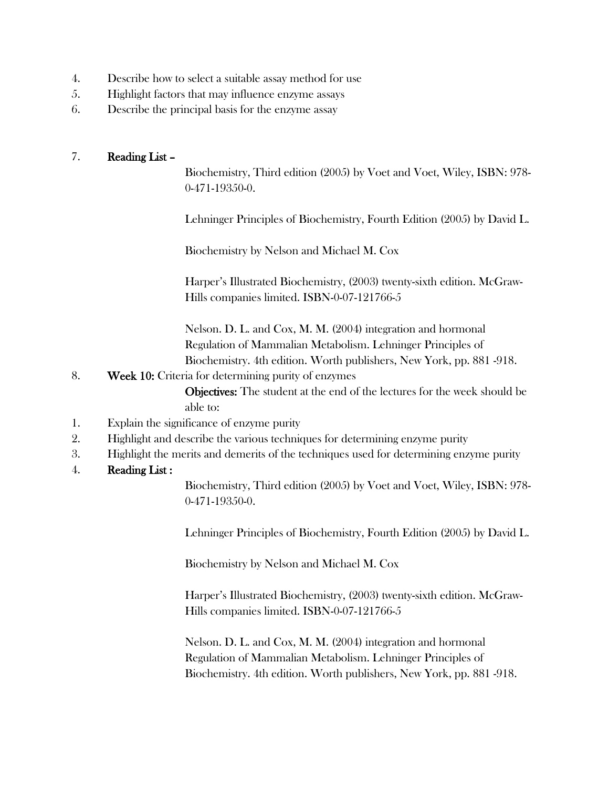- 4. Describe how to select a suitable assay method for use
- 5. Highlight factors that may influence enzyme assays
- 6. Describe the principal basis for the enzyme assay

#### 7. Reading List –

Biochemistry, Third edition (2005) by Voet and Voet, Wiley, ISBN: 978- 0-471-19350-0.

Lehninger Principles of Biochemistry, Fourth Edition (2005) by David L.

Biochemistry by Nelson and Michael M. Cox

Harper's Illustrated Biochemistry, (2003) twenty-sixth edition. McGraw-Hills companies limited. ISBN-0-07-121766-5

Nelson. D. L. and Cox, M. M. (2004) integration and hormonal Regulation of Mammalian Metabolism. Lehninger Principles of Biochemistry. 4th edition. Worth publishers, New York, pp. 881 -918.

8. Week 10: Criteria for determining purity of enzymes

Objectives: The student at the end of the lectures for the week should be able to:

- 1. Explain the significance of enzyme purity
- 2. Highlight and describe the various techniques for determining enzyme purity
- 3. Highlight the merits and demerits of the techniques used for determining enzyme purity
- 4. Reading List :

Biochemistry, Third edition (2005) by Voet and Voet, Wiley, ISBN: 978- 0-471-19350-0.

Lehninger Principles of Biochemistry, Fourth Edition (2005) by David L.

Biochemistry by Nelson and Michael M. Cox

Harper's Illustrated Biochemistry, (2003) twenty-sixth edition. McGraw-Hills companies limited. ISBN-0-07-121766-5

Nelson. D. L. and Cox, M. M. (2004) integration and hormonal Regulation of Mammalian Metabolism. Lehninger Principles of Biochemistry. 4th edition. Worth publishers, New York, pp. 881 -918.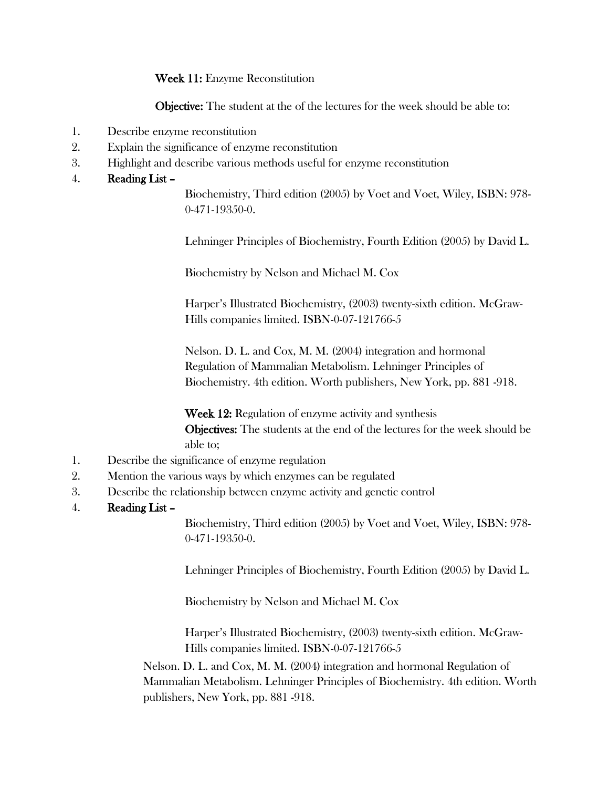Week 11: Enzyme Reconstitution

Objective: The student at the of the lectures for the week should be able to:

- 1. Describe enzyme reconstitution
- 2. Explain the significance of enzyme reconstitution
- 3. Highlight and describe various methods useful for enzyme reconstitution

#### 4. Reading List –

Biochemistry, Third edition (2005) by Voet and Voet, Wiley, ISBN: 978- 0-471-19350-0.

Lehninger Principles of Biochemistry, Fourth Edition (2005) by David L.

Biochemistry by Nelson and Michael M. Cox

Harper's Illustrated Biochemistry, (2003) twenty-sixth edition. McGraw-Hills companies limited. ISBN-0-07-121766-5

Nelson. D. L. and Cox, M. M. (2004) integration and hormonal Regulation of Mammalian Metabolism. Lehninger Principles of Biochemistry. 4th edition. Worth publishers, New York, pp. 881 -918.

Week 12: Regulation of enzyme activity and synthesis Objectives: The students at the end of the lectures for the week should be able to;

- 1. Describe the significance of enzyme regulation
- 2. Mention the various ways by which enzymes can be regulated
- 3. Describe the relationship between enzyme activity and genetic control
- 4. Reading List –

Biochemistry, Third edition (2005) by Voet and Voet, Wiley, ISBN: 978- 0-471-19350-0.

Lehninger Principles of Biochemistry, Fourth Edition (2005) by David L.

Biochemistry by Nelson and Michael M. Cox

Harper's Illustrated Biochemistry, (2003) twenty-sixth edition. McGraw-Hills companies limited. ISBN-0-07-121766-5

Nelson. D. L. and Cox, M. M. (2004) integration and hormonal Regulation of Mammalian Metabolism. Lehninger Principles of Biochemistry. 4th edition. Worth publishers, New York, pp. 881 -918.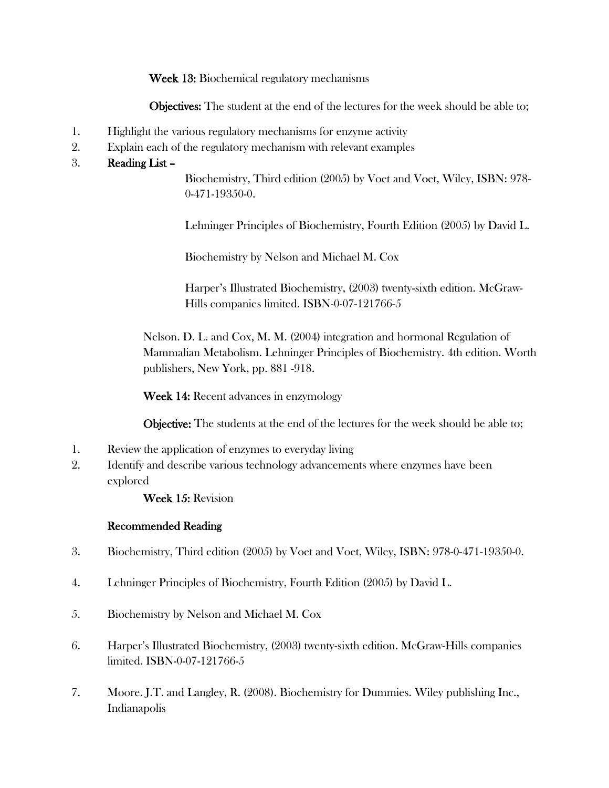Week 13: Biochemical regulatory mechanisms

Objectives: The student at the end of the lectures for the week should be able to;

- 1. Highlight the various regulatory mechanisms for enzyme activity
- 2. Explain each of the regulatory mechanism with relevant examples

#### 3. Reading List –

Biochemistry, Third edition (2005) by Voet and Voet, Wiley, ISBN: 978- 0-471-19350-0.

Lehninger Principles of Biochemistry, Fourth Edition (2005) by David L.

Biochemistry by Nelson and Michael M. Cox

Harper's Illustrated Biochemistry, (2003) twenty-sixth edition. McGraw-Hills companies limited. ISBN-0-07-121766-5

Nelson. D. L. and Cox, M. M. (2004) integration and hormonal Regulation of Mammalian Metabolism. Lehninger Principles of Biochemistry. 4th edition. Worth publishers, New York, pp. 881 -918.

Week 14: Recent advances in enzymology

Objective: The students at the end of the lectures for the week should be able to;

- 1. Review the application of enzymes to everyday living
- 2. Identify and describe various technology advancements where enzymes have been explored

Week 15: Revision

#### Recommended Reading

- 3. Biochemistry, Third edition (2005) by Voet and Voet, Wiley, ISBN: 978-0-471-19350-0.
- 4. Lehninger Principles of Biochemistry, Fourth Edition (2005) by David L.
- 5. Biochemistry by Nelson and Michael M. Cox
- 6. Harper's Illustrated Biochemistry, (2003) twenty-sixth edition. McGraw-Hills companies limited. ISBN-0-07-121766-5
- 7. Moore. J.T. and Langley, R. (2008). Biochemistry for Dummies. Wiley publishing Inc., Indianapolis